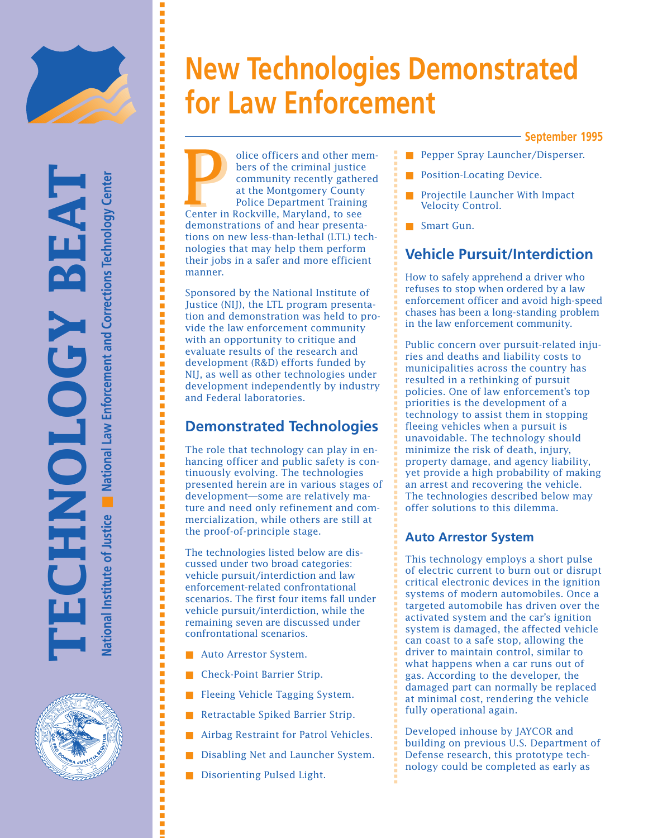

# **New Technologies Demonstrated for Law Enforcement**

#### **September 1995**

olice officers and other members of the criminal justice community recently gathered at the Montgomery County Police Department Training Duce officers and other moves for the criminal justice community recently gathe<br>at the Montgomery County<br>Police Department Trainin<br>Center in Rockville, Maryland, to see demonstrations of and hear presentations on new less-than-lethal (LTL) technologies that may help them perform their jobs in a safer and more efficient manner. Pepper Spray Launcher/Disperser.<br>
Journal point of the criminal justice<br>
ommunity recently gathered<br>
at the Montgomery County<br>
Position-Locating Device.<br>
Position-Locating Device.<br>
Projectile Launcher With Impact<br>
Velocity

Sponsored by the National Institute of Justice (NIJ), the LTL program presentation and demonstration was held to provide the law enforcement community with an opportunity to critique and evaluate results of the research and development (R&D) efforts funded by NIJ, as well as other technologies under development independently by industry and Federal laboratories.

# **Demonstrated Technologies**

The role that technology can play in enhancing officer and public safety is continuously evolving. The technologies presented herein are in various stages of development—some are relatively mature and need only refinement and commercialization, while others are still at the proof-of-principle stage.

The technologies listed below are discussed under two broad categories: vehicle pursuit/interdiction and law enforcement-related confrontational scenarios. The first four items fall under vehicle pursuit/interdiction, while the remaining seven are discussed under confrontational scenarios.

- Auto Arrestor System.
- Check-Point Barrier Strip.
- Fleeing Vehicle Tagging System.
- Retractable Spiked Barrier Strip.
- Airbag Restraint for Patrol Vehicles.
- Disabling Net and Launcher System.
- Disorienting Pulsed Light.
- 
- Position-Locating Device.
- Projectile Launcher With Impact Velocity Control.
- Smart Gun.

# **Vehicle Pursuit/Interdiction**

How to safely apprehend a driver who refuses to stop when ordered by a law enforcement officer and avoid high-speed chases has been a long-standing problem in the law enforcement community.

Public concern over pursuit-related injuries and deaths and liability costs to municipalities across the country has resulted in a rethinking of pursuit policies. One of law enforcement's top priorities is the development of a technology to assist them in stopping fleeing vehicles when a pursuit is unavoidable. The technology should minimize the risk of death, injury, property damage, and agency liability, yet provide a high probability of making an arrest and recovering the vehicle. The technologies described below may offer solutions to this dilemma.

#### **Auto Arrestor System**

■ ■ ■ ■ ■ ■ ■ ■ ■ ■ ■ ■ ■ ■ ■ ■ ■ ■ ■ ■ ■ ■ ■ ■ ■ ■ ■ ■ ■ ■ ■ ■ ■ ■ ■ ■ ■ ■ ■ ■ ■ ■ ■ ■ ■ ■ ■ ■ ■ ■ ■ ■ ■ ■ ■ ■ ■ ■ ■ ■ ■ ■ ■ ■ ■ ■ ■ ■ ■ ■ ■ ■ ■ ■ ■ ■ ■ ■ ■ ■ ■ ■ ■ ■ ■ ■ ■ ■ ■ ■ ■ ■ ■ ■ ■ ■ ■ ■ ■ ■ ■ ■ ■ ■ ■ ■ ■ ■ ■ ■ ■ ■ ■ ■

This technology employs a short pulse of electric current to burn out or disrupt critical electronic devices in the ignition systems of modern automobiles. Once a targeted automobile has driven over the activated system and the car's ignition system is damaged, the affected vehicle can coast to a safe stop, allowing the driver to maintain control, similar to what happens when a car runs out of gas. According to the developer, the damaged part can normally be replaced at minimal cost, rendering the vehicle fully operational again.

Developed inhouse by JAYCOR and building on previous U.S. Department of Defense research, this prototype technology could be completed as early as

■ ■ ■ ■ ■ ■ ■ ■ ■ ■ ■ ■ ■ ■ ■ ■ ■ ■ ■ ■ ■ ■ ■ ■ ■ ■ ■ ■ ■ ■ ■ ■ ■ ■ ■ ■ ■ ■ ■ ■ ■ ■ ■ ■ ■ ■ ■ ■ ■ ■ ■ ■ ■ ■ ■ ■ ■ ■ ■ ■ ■ ■ ■ ■ ■ ■ ■ ■ ■ ■ ■ ■ ■ ■ ■ ■ ■ ■ ■ ■ ■ ■ ■ ■ ■ ■ ■ ■ ■ ■ ■ ■ ■ ■ ■ ■ ■ ■ ■ ■ ■ ■

的复数形式的复数形式 医阿尔比尔氏试验检尿酸盐 医阿尔比尔氏试验检尿酸盐 医阿尔比尔氏试验检尿 医阿尔比尔氏试验检尿道检检尿道检检尿道检检尿道检尿道检尿道检尿道检尿道检尿道检尿道检尿道

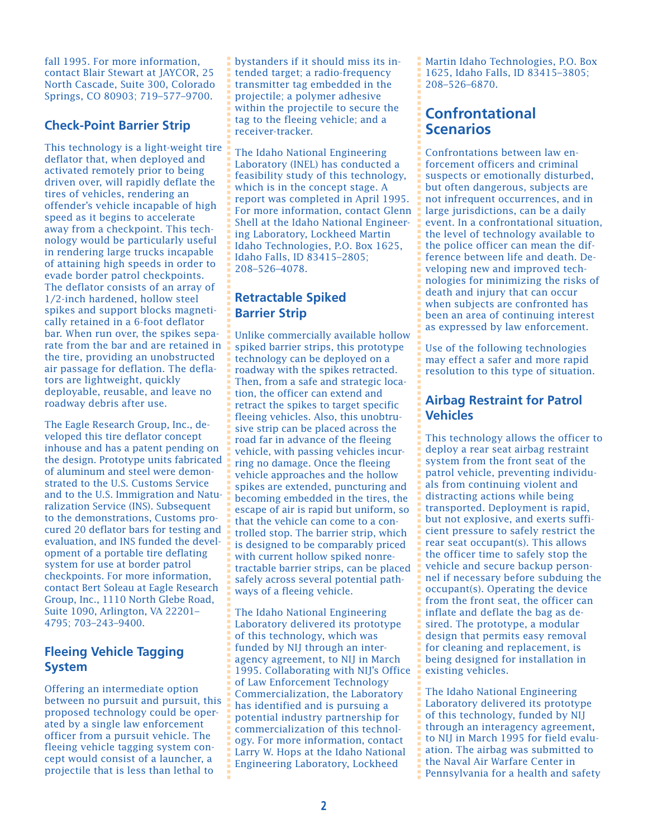fall 1995. For more information, contact Blair Stewart at JAYCOR, 25 North Cascade, Suite 300, Colorado Springs, CO 80903; 719–577–9700.

#### **Check-Point Barrier Strip**

This technology is a light-weight tire deflator that, when deployed and activated remotely prior to being driven over, will rapidly deflate the tires of vehicles, rendering an offender's vehicle incapable of high speed as it begins to accelerate away from a checkpoint. This technology would be particularly useful in rendering large trucks incapable of attaining high speeds in order to evade border patrol checkpoints. The deflator consists of an array of 1/2-inch hardened, hollow steel spikes and support blocks magnetically retained in a 6-foot deflator bar. When run over, the spikes separate from the bar and are retained in the tire, providing an unobstructed air passage for deflation. The deflators are lightweight, quickly deployable, reusable, and leave no roadway debris after use.

The Eagle Research Group, Inc., developed this tire deflator concept inhouse and has a patent pending on the design. Prototype units fabricated of aluminum and steel were demonstrated to the U.S. Customs Service and to the U.S. Immigration and Naturalization Service (INS). Subsequent to the demonstrations, Customs procured 20 deflator bars for testing and evaluation, and INS funded the development of a portable tire deflating system for use at border patrol checkpoints. For more information, contact Bert Soleau at Eagle Research Group, Inc., 1110 North Glebe Road, Suite 1090, Arlington, VA 22201– 4795; 703–243–9400.

#### **Fleeing Vehicle Tagging System**

Offering an intermediate option between no pursuit and pursuit, this proposed technology could be operated by a single law enforcement officer from a pursuit vehicle. The fleeing vehicle tagging system concept would consist of a launcher, a projectile that is less than lethal to

bystanders if it should miss its intended target; a radio-frequency transmitter tag embedded in the projectile; a polymer adhesive within the projectile to secure the tag to the fleeing vehicle; and a receiver-tracker.

The Idaho National Engineering Laboratory (INEL) has conducted a feasibility study of this technology, which is in the concept stage. A report was completed in April 1995. For more information, contact Glenn Shell at the Idaho National Engineering Laboratory, Lockheed Martin Idaho Technologies, P.O. Box 1625, Idaho Falls, ID 83415–2805; 208–526–4078.

#### **Retractable Spiked Barrier Strip**

■ ■ ■ ■ ■ ■ ■ ■ ■ ■ ■ ■ ■ ■ ■ ■ ■ ■ ■ ■ ■ ■ ■ ■ ■ ■ ■ ■ ■ ■ ■ ■ ■ ■ ■ ■ ■ ■ ■ ■ ■ ■ ■ ■ ■ ■ ■ ■ ■ ■ ■ ■ ■ ■ ■ ■ ■ ■ ■ ■ ■ ■ ■ ■ ■ ■ ■ ■ ■ ■ ■ ■ ■ ■ ■ ■ ■ ■ ■ ■ ■ ■ ■ ■ ■ ■ ■ ■ ■ ■ ■ ■ ■ ■ ■ ■ ■ ■ ■ ■ ■ ■ ■ ■ ■ ■ ■ ■ ■ ■ ■ ■ ■ ■ ■ ■ ■ ■ ■ ■ ■ ■ ■ ■ ■ ■ ■ ■ ■ ■

Unlike commercially available hollow spiked barrier strips, this prototype technology can be deployed on a roadway with the spikes retracted. Then, from a safe and strategic location, the officer can extend and retract the spikes to target specific fleeing vehicles. Also, this unobtrusive strip can be placed across the road far in advance of the fleeing vehicle, with passing vehicles incurring no damage. Once the fleeing vehicle approaches and the hollow spikes are extended, puncturing and becoming embedded in the tires, the escape of air is rapid but uniform, so that the vehicle can come to a controlled stop. The barrier strip, which is designed to be comparably priced with current hollow spiked nonretractable barrier strips, can be placed safely across several potential pathways of a fleeing vehicle.

The Idaho National Engineering Laboratory delivered its prototype of this technology, which was funded by NIJ through an interagency agreement, to NIJ in March 1995. Collaborating with NIJ's Office of Law Enforcement Technology Commercialization, the Laboratory has identified and is pursuing a potential industry partnership for commercialization of this technology. For more information, contact Larry W. Hops at the Idaho National Engineering Laboratory, Lockheed

Martin Idaho Technologies, P.O. Box 1625, Idaho Falls, ID 83415–3805; 208–526–6870.

# **Confrontational Scenarios**

Confrontations between law enforcement officers and criminal suspects or emotionally disturbed, but often dangerous, subjects are not infrequent occurrences, and in large jurisdictions, can be a daily event. In a confrontational situation, the level of technology available to the police officer can mean the difference between life and death. Developing new and improved technologies for minimizing the risks of death and injury that can occur when subjects are confronted has been an area of continuing interest as expressed by law enforcement.

Use of the following technologies may effect a safer and more rapid resolution to this type of situation.

#### **Airbag Restraint for Patrol Vehicles**

■ ■ ■ ■ ■ ■ ■ ■ ■ ■ ■ ■ ■ ■ ■ ■ ■ ■ ■ ■ ■ ■ ■ ■ ■ ■ ■ ■ ■ ■ ■ ■ ■ ■ ■ ■ ■ ■ ■ ■ ■ ■ ■ ■ ■ ■ ■ ■ ■ ■ ■ ■ ■ ■ ■ ■ ■ ■ ■ ■ ■ ■ ■ ■ ■ ■ ■ ■ ■ ■ ■ ■ ■ ■ ■ ■ ■ ■ ■ ■ ■ ■ ■ ■ ■ ■ ■ ■ ■ ■ ■ ■ ■ ■ ■ ■ ■ ■ ■ ■ ■ ■ ■ ■ ■ ■ ■ ■ ■ ■ ■ ■ ■ ■ ■ ■ ■ ■ ■ ■ ■ ■ ■ ■ ■ ■ ■ ■ ■ ■

This technology allows the officer to deploy a rear seat airbag restraint system from the front seat of the patrol vehicle, preventing individuals from continuing violent and distracting actions while being transported. Deployment is rapid, but not explosive, and exerts sufficient pressure to safely restrict the rear seat occupant(s). This allows the officer time to safely stop the vehicle and secure backup personnel if necessary before subduing the occupant(s). Operating the device from the front seat, the officer can inflate and deflate the bag as desired. The prototype, a modular design that permits easy removal for cleaning and replacement, is being designed for installation in existing vehicles.

The Idaho National Engineering Laboratory delivered its prototype of this technology, funded by NIJ through an interagency agreement, to NIJ in March 1995 for field evaluation. The airbag was submitted to the Naval Air Warfare Center in Pennsylvania for a health and safety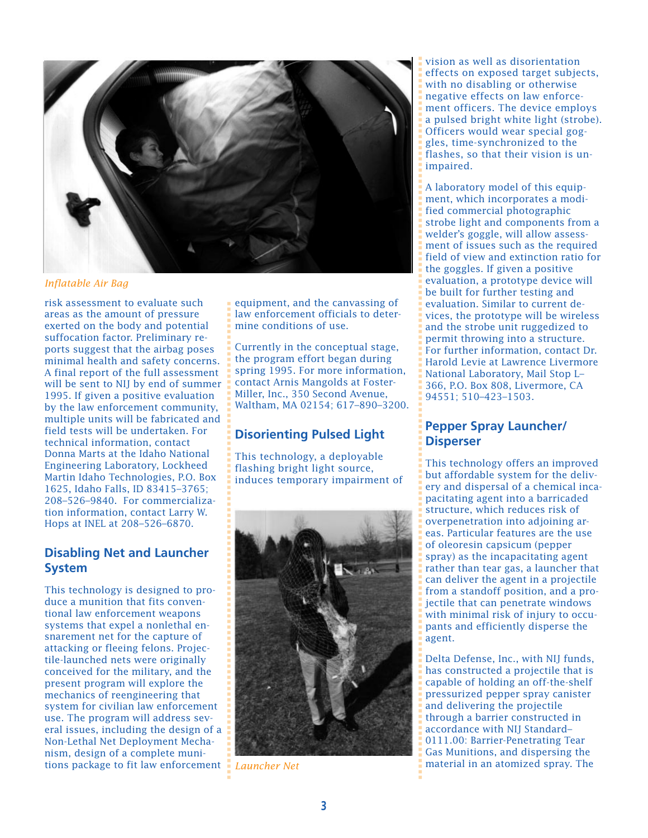

*Inflatable Air Bag*

risk assessment to evaluate such areas as the amount of pressure exerted on the body and potential suffocation factor. Preliminary reports suggest that the airbag poses minimal health and safety concerns. A final report of the full assessment will be sent to NIJ by end of summer 1995. If given a positive evaluation by the law enforcement community, multiple units will be fabricated and field tests will be undertaken. For technical information, contact Donna Marts at the Idaho National Engineering Laboratory, Lockheed Martin Idaho Technologies, P.O. Box 1625, Idaho Falls, ID 83415–3765; 208–526–9840. For commercialization information, contact Larry W. Hops at INEL at 208–526–6870.

#### **Disabling Net and Launcher System**

This technology is designed to produce a munition that fits conventional law enforcement weapons systems that expel a nonlethal ensnarement net for the capture of attacking or fleeing felons. Projectile-launched nets were originally conceived for the military, and the present program will explore the mechanics of reengineering that system for civilian law enforcement use. The program will address several issues, including the design of a Non-Lethal Net Deployment Mechanism, design of a complete munitions package to fit law enforcement *Launcher Net*

equipment, and the canvassing of law enforcement officials to determine conditions of use.

Currently in the conceptual stage, the program effort began during spring 1995. For more information, contact Arnis Mangolds at Foster-Miller, Inc., 350 Second Avenue, Waltham, MA 02154; 617–890–3200.

## **Disorienting Pulsed Light**

This technology, a deployable flashing bright light source, induces temporary impairment of



vision as well as disorientation effects on exposed target subjects, with no disabling or otherwise negative effects on law enforcement officers. The device employs a pulsed bright white light (strobe). Officers would wear special goggles, time-synchronized to the flashes, so that their vision is unimpaired.

A laboratory model of this equipment, which incorporates a modified commercial photographic strobe light and components from a welder's goggle, will allow assessment of issues such as the required field of view and extinction ratio for the goggles. If given a positive evaluation, a prototype device will be built for further testing and evaluation. Similar to current devices, the prototype will be wireless and the strobe unit ruggedized to permit throwing into a structure. For further information, contact Dr. Harold Levie at Lawrence Livermore National Laboratory, Mail Stop L– 366, P.O. Box 808, Livermore, CA 94551; 510–423–1503.

#### **Pepper Spray Launcher/ Disperser**

This technology offers an improved but affordable system for the delivery and dispersal of a chemical incapacitating agent into a barricaded structure, which reduces risk of overpenetration into adjoining areas. Particular features are the use of oleoresin capsicum (pepper spray) as the incapacitating agent rather than tear gas, a launcher that can deliver the agent in a projectile from a standoff position, and a projectile that can penetrate windows with minimal risk of injury to occupants and efficiently disperse the agent.

Delta Defense, Inc., with NIJ funds, has constructed a projectile that is capable of holding an off-the-shelf pressurized pepper spray canister and delivering the projectile through a barrier constructed in accordance with NIJ Standard– 0111.00: Barrier-Penetrating Tear Gas Munitions, and dispersing the material in an atomized spray. The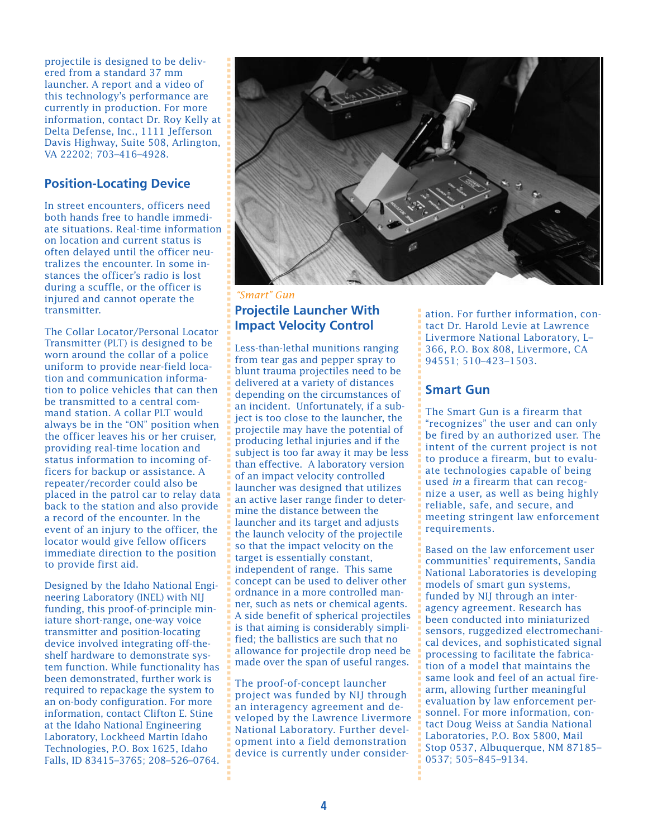projectile is designed to be delivered from a standard 37 mm launcher. A report and a video of this technology's performance are currently in production. For more information, contact Dr. Roy Kelly at Delta Defense, Inc., 1111 Jefferson Davis Highway, Suite 508, Arlington, VA 22202; 703–416–4928.

#### **Position-Locating Device**

In street encounters, officers need both hands free to handle immediate situations. Real-time information on location and current status is often delayed until the officer neutralizes the encounter. In some instances the officer's radio is lost during a scuffle, or the officer is injured and cannot operate the transmitter.

The Collar Locator/Personal Locator Transmitter (PLT) is designed to be worn around the collar of a police uniform to provide near-field location and communication information to police vehicles that can then be transmitted to a central command station. A collar PLT would always be in the "ON" position when the officer leaves his or her cruiser, providing real-time location and status information to incoming officers for backup or assistance. A repeater/recorder could also be placed in the patrol car to relay data back to the station and also provide a record of the encounter. In the event of an injury to the officer, the locator would give fellow officers immediate direction to the position to provide first aid.

Designed by the Idaho National Engineering Laboratory (INEL) with NIJ funding, this proof-of-principle miniature short-range, one-way voice transmitter and position-locating device involved integrating off-theshelf hardware to demonstrate system function. While functionality has been demonstrated, further work is required to repackage the system to an on-body configuration. For more information, contact Clifton E. Stine at the Idaho National Engineering Laboratory, Lockheed Martin Idaho Technologies, P.O. Box 1625, Idaho Falls, ID 83415–3765; 208–526–0764.



#### **Projectile Launcher With Impact Velocity Control** *"Smart" Gun*

Less-than-lethal munitions ranging from tear gas and pepper spray to blunt trauma projectiles need to be delivered at a variety of distances depending on the circumstances of an incident. Unfortunately, if a subject is too close to the launcher, the projectile may have the potential of producing lethal injuries and if the subject is too far away it may be less than effective. A laboratory version of an impact velocity controlled launcher was designed that utilizes an active laser range finder to determine the distance between the launcher and its target and adjusts the launch velocity of the projectile so that the impact velocity on the target is essentially constant, independent of range. This same concept can be used to deliver other ordnance in a more controlled manner, such as nets or chemical agents. A side benefit of spherical projectiles is that aiming is considerably simplified; the ballistics are such that no allowance for projectile drop need be made over the span of useful ranges.

The proof-of-concept launcher project was funded by NIJ through an interagency agreement and developed by the Lawrence Livermore National Laboratory. Further development into a field demonstration device is currently under consideration. For further information, contact Dr. Harold Levie at Lawrence Livermore National Laboratory, L– 366, P.O. Box 808, Livermore, CA 94551; 510–423–1503.

#### **Smart Gun**

■ ■ ■ ■ ■ ■ ■ ■ ■ ■ ■ ■ ■ ■ ■ ■ ■ ■ ■ ■ ■ ■ ■ ■ ■ ■ ■ ■ ■ ■ ■ ■ ■ ■ ■ ■ ■ ■ ■ ■ ■ ■ ■ ■ ■ ■ ■ ■ ■ ■ ■ ■ ■ ■ ■ ■ ■ ■ ■ ■ ■ ■ ■ ■ ■ ■ ■ ■ ■ ■ ■ ■ ■ ■ ■ ■ ■ ■ ■ ■ ■ ■ ■ ■ ■

The Smart Gun is a firearm that "recognizes" the user and can only be fired by an authorized user. The intent of the current project is not to produce a firearm, but to evaluate technologies capable of being used *in* a firearm that can recognize a user, as well as being highly reliable, safe, and secure, and meeting stringent law enforcement requirements.

Based on the law enforcement user communities' requirements, Sandia National Laboratories is developing models of smart gun systems, funded by NIJ through an interagency agreement. Research has been conducted into miniaturized sensors, ruggedized electromechanical devices, and sophisticated signal processing to facilitate the fabrication of a model that maintains the same look and feel of an actual firearm, allowing further meaningful evaluation by law enforcement personnel. For more information, contact Doug Weiss at Sandia National Laboratories, P.O. Box 5800, Mail Stop 0537, Albuquerque, NM 87185– 0537; 505–845–9134.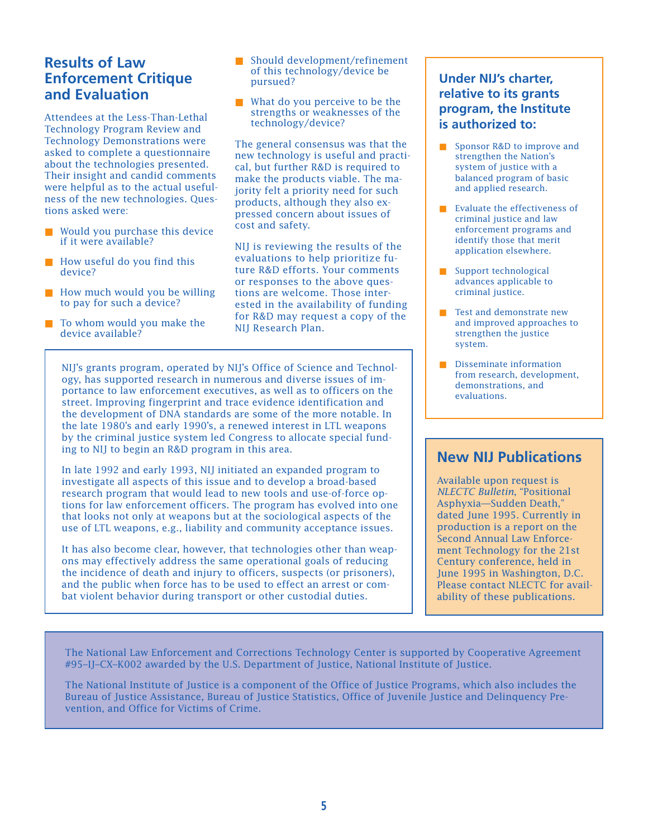## **Results of Law Enforcement Critique and Evaluation**

Attendees at the Less-Than-Lethal Technology Program Review and Technology Demonstrations were asked to complete a questionnaire about the technologies presented. Their insight and candid comments were helpful as to the actual usefulness of the new technologies. Questions asked were:

- Would you purchase this device if it were available?
- How useful do you find this device?
- How much would you be willing to pay for such a device?
- To whom would you make the device available?
- Should development/refinement of this technology/device be pursued?
- What do you perceive to be the strengths or weaknesses of the technology/device?

The general consensus was that the new technology is useful and practical, but further R&D is required to make the products viable. The majority felt a priority need for such products, although they also expressed concern about issues of cost and safety.

NIJ is reviewing the results of the evaluations to help prioritize future R&D efforts. Your comments or responses to the above questions are welcome. Those interested in the availability of funding for R&D may request a copy of the NIJ Research Plan.

NIJ's grants program, operated by NIJ's Office of Science and Technology, has supported research in numerous and diverse issues of importance to law enforcement executives, as well as to officers on the street. Improving fingerprint and trace evidence identification and the development of DNA standards are some of the more notable. In the late 1980's and early 1990's, a renewed interest in LTL weapons by the criminal justice system led Congress to allocate special funding to NIJ to begin an R&D program in this area.

In late 1992 and early 1993, NIJ initiated an expanded program to investigate all aspects of this issue and to develop a broad-based research program that would lead to new tools and use-of-force options for law enforcement officers. The program has evolved into one that looks not only at weapons but at the sociological aspects of the use of LTL weapons, e.g., liability and community acceptance issues.

It has also become clear, however, that technologies other than weapons may effectively address the same operational goals of reducing the incidence of death and injury to officers, suspects (or prisoners), and the public when force has to be used to effect an arrest or combat violent behavior during transport or other custodial duties.

#### **Under NIJ's charter, relative to its grants program, the Institute is authorized to:**

- Sponsor R&D to improve and strengthen the Nation's system of justice with a balanced program of basic and applied research.
- Evaluate the effectiveness of criminal justice and law enforcement programs and identify those that merit application elsewhere.
- Support technological advances applicable to criminal justice.
- Test and demonstrate new and improved approaches to strengthen the justice system.
- Disseminate information from research, development, demonstrations, and evaluations.

## **New NIJ Publications**

Available upon request is *NLECTC Bulletin*, "Positional Asphyxia—Sudden Death," dated June 1995. Currently in production is a report on the Second Annual Law Enforcement Technology for the 21st Century conference, held in June 1995 in Washington, D.C. Please contact NLECTC for availability of these publications.

The National Law Enforcement and Corrections Technology Center is supported by Cooperative Agreement #95–IJ–CX–K002 awarded by the U.S. Department of Justice, National Institute of Justice.

The National Institute of Justice is a component of the Office of Justice Programs, which also includes the Bureau of Justice Assistance, Bureau of Justice Statistics, Office of Juvenile Justice and Delinquency Prevention, and Office for Victims of Crime.